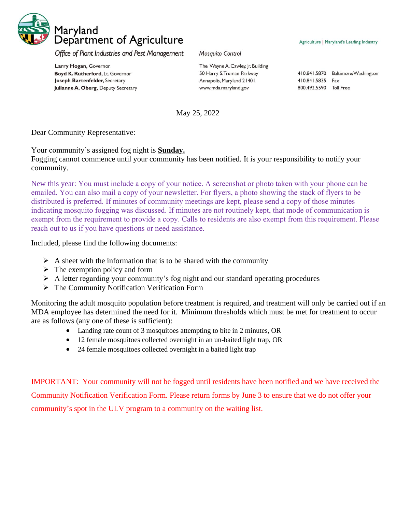

Office of Plant Industries and Pest Management

Larry Hogan, Governor Boyd K. Rutherford, Lt. Governor Joseph Bartenfelder, Secretary Julianne A. Oberg, Deputy Secretary Mosquito Control

The Wayne A. Cawley, Jr. Building 50 Harry S. Truman Parkway Annapolis, Maryland 21401 www.mda.maryland.gov

Agriculture | Maryland's Leading Industry

410.841.5870 Baltimore/Washington 410.841.5835 Fax 800.492.5590 Toll Free

May 25, 2022

Dear Community Representative:

Your community's assigned fog night is **Sunday.**

Fogging cannot commence until your community has been notified. It is your responsibility to notify your community.

New this year: You must include a copy of your notice. A screenshot or photo taken with your phone can be emailed. You can also mail a copy of your newsletter. For flyers, a photo showing the stack of flyers to be distributed is preferred. If minutes of community meetings are kept, please send a copy of those minutes indicating mosquito fogging was discussed. If minutes are not routinely kept, that mode of communication is exempt from the requirement to provide a copy. Calls to residents are also exempt from this requirement. Please reach out to us if you have questions or need assistance.

Included, please find the following documents:

- $\triangleright$  A sheet with the information that is to be shared with the community
- $\triangleright$  The exemption policy and form
- $\triangleright$  A letter regarding your community's fog night and our standard operating procedures
- ➢ The Community Notification Verification Form

Monitoring the adult mosquito population before treatment is required, and treatment will only be carried out if an MDA employee has determined the need for it. Minimum thresholds which must be met for treatment to occur are as follows (any one of these is sufficient):

- Landing rate count of 3 mosquitoes attempting to bite in 2 minutes, OR
- 12 female mosquitoes collected overnight in an un-baited light trap, OR
- 24 female mosquitoes collected overnight in a baited light trap

IMPORTANT: Your community will not be fogged until residents have been notified and we have received the Community Notification Verification Form. Please return forms by June 3 to ensure that we do not offer your community's spot in the ULV program to a community on the waiting list.